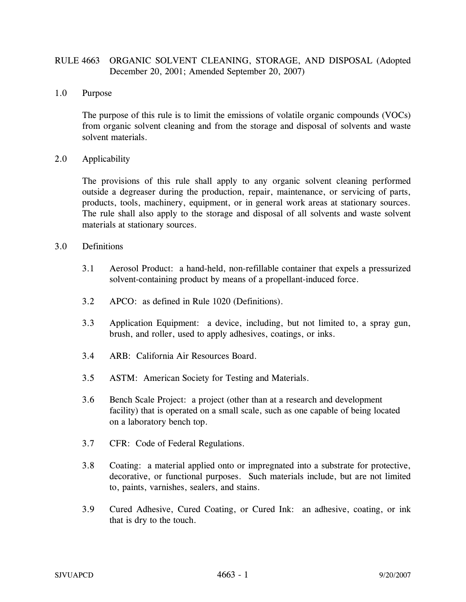## RULE 4663 ORGANIC SOLVENT CLEANING, STORAGE, AND DISPOSAL (Adopted December 20, 2001; Amended September 20, 2007)

### 1.0 Purpose

The purpose of this rule is to limit the emissions of volatile organic compounds (VOCs) from organic solvent cleaning and from the storage and disposal of solvents and waste solvent materials.

### 2.0 Applicability

The provisions of this rule shall apply to any organic solvent cleaning performed outside a degreaser during the production, repair, maintenance, or servicing of parts, products, tools, machinery, equipment, or in general work areas at stationary sources. The rule shall also apply to the storage and disposal of all solvents and waste solvent materials at stationary sources.

#### 3.0 Definitions

- 3.1 Aerosol Product: a hand-held, non-refillable container that expels a pressurized solvent-containing product by means of a propellant-induced force.
- 3.2 APCO: as defined in Rule 1020 (Definitions).
- 3.3 Application Equipment: a device, including, but not limited to, a spray gun, brush, and roller, used to apply adhesives, coatings, or inks.
- 3.4 ARB: California Air Resources Board.
- 3.5 ASTM: American Society for Testing and Materials.
- 3.6 Bench Scale Project: a project (other than at a research and development facility) that is operated on a small scale, such as one capable of being located on a laboratory bench top.
- 3.7 CFR: Code of Federal Regulations.
- 3.8 Coating: a material applied onto or impregnated into a substrate for protective, decorative, or functional purposes. Such materials include, but are not limited to, paints, varnishes, sealers, and stains.
- 3.9 Cured Adhesive, Cured Coating, or Cured Ink: an adhesive, coating, or ink that is dry to the touch.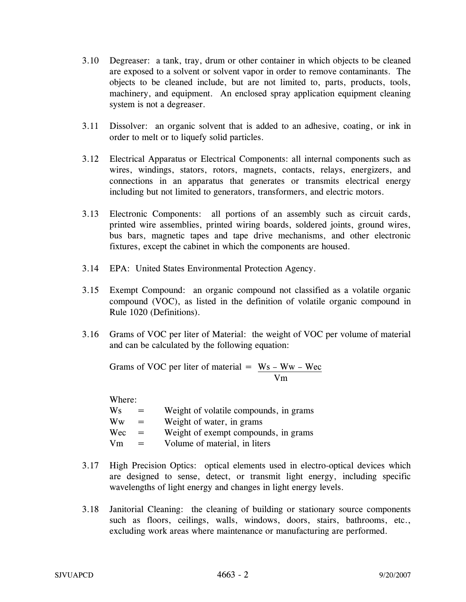- 3.10 Degreaser: a tank, tray, drum or other container in which objects to be cleaned are exposed to a solvent or solvent vapor in order to remove contaminants. The objects to be cleaned include, but are not limited to, parts, products, tools, machinery, and equipment. An enclosed spray application equipment cleaning system is not a degreaser.
- 3.11 Dissolver: an organic solvent that is added to an adhesive, coating, or ink in order to melt or to liquefy solid particles.
- 3.12 Electrical Apparatus or Electrical Components: all internal components such as wires, windings, stators, rotors, magnets, contacts, relays, energizers, and connections in an apparatus that generates or transmits electrical energy including but not limited to generators, transformers, and electric motors.
- 3.13 Electronic Components: all portions of an assembly such as circuit cards, printed wire assemblies, printed wiring boards, soldered joints, ground wires, bus bars, magnetic tapes and tape drive mechanisms, and other electronic fixtures, except the cabinet in which the components are housed.
- 3.14 EPA: United States Environmental Protection Agency.
- 3.15 Exempt Compound: an organic compound not classified as a volatile organic compound (VOC), as listed in the definition of volatile organic compound in Rule 1020 (Definitions).
- 3.16 Grams of VOC per liter of Material: the weight of VOC per volume of material and can be calculated by the following equation:

Grams of VOC per liter of material  $=$  Ws – Ww – Wec Vm

Where:

- $Ws$  = Weight of volatile compounds, in grams
- $\mathbf{W}\mathbf{w} = \mathbf{W}\mathbf{e}$  ight of water, in grams
- $Wec = Weight of exempt compounds, in grams$
- $Vm = Volume of material, in liters)$
- 3.17 High Precision Optics: optical elements used in electro-optical devices which are designed to sense, detect, or transmit light energy, including specific wavelengths of light energy and changes in light energy levels.
- 3.18 Janitorial Cleaning: the cleaning of building or stationary source components such as floors, ceilings, walls, windows, doors, stairs, bathrooms, etc., excluding work areas where maintenance or manufacturing are performed.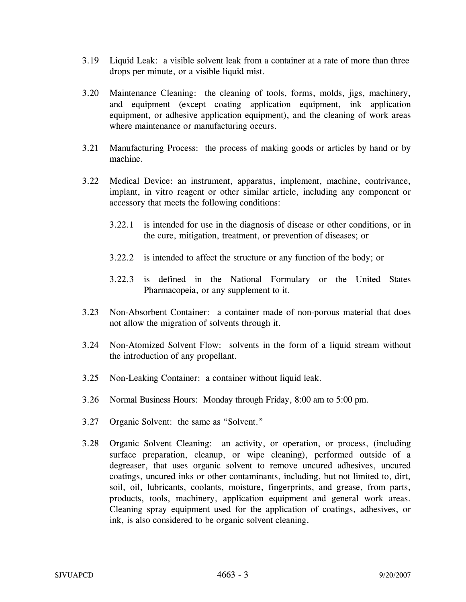- 3.19 Liquid Leak: a visible solvent leak from a container at a rate of more than three drops per minute, or a visible liquid mist.
- 3.20 Maintenance Cleaning: the cleaning of tools, forms, molds, jigs, machinery, and equipment (except coating application equipment, ink application equipment, or adhesive application equipment), and the cleaning of work areas where maintenance or manufacturing occurs.
- 3.21 Manufacturing Process: the process of making goods or articles by hand or by machine.
- 3.22 Medical Device: an instrument, apparatus, implement, machine, contrivance, implant, in vitro reagent or other similar article, including any component or accessory that meets the following conditions:
	- 3.22.1 is intended for use in the diagnosis of disease or other conditions, or in the cure, mitigation, treatment, or prevention of diseases; or
	- 3.22.2 is intended to affect the structure or any function of the body; or
	- 3.22.3 is defined in the National Formulary or the United States Pharmacopeia, or any supplement to it.
- 3.23 Non-Absorbent Container: a container made of non-porous material that does not allow the migration of solvents through it.
- 3.24 Non-Atomized Solvent Flow: solvents in the form of a liquid stream without the introduction of any propellant.
- 3.25 Non-Leaking Container: a container without liquid leak.
- 3.26 Normal Business Hours: Monday through Friday, 8:00 am to 5:00 pm.
- 3.27 Organic Solvent: the same as "Solvent."
- 3.28 Organic Solvent Cleaning: an activity, or operation, or process, (including surface preparation, cleanup, or wipe cleaning), performed outside of a degreaser, that uses organic solvent to remove uncured adhesives, uncured coatings, uncured inks or other contaminants, including, but not limited to, dirt, soil, oil, lubricants, coolants, moisture, fingerprints, and grease, from parts, products, tools, machinery, application equipment and general work areas. Cleaning spray equipment used for the application of coatings, adhesives, or ink, is also considered to be organic solvent cleaning.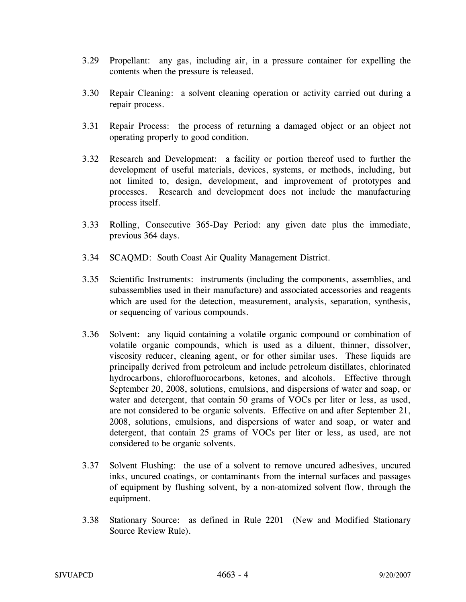- 3.29 Propellant: any gas, including air, in a pressure container for expelling the contents when the pressure is released.
- 3.30 Repair Cleaning: a solvent cleaning operation or activity carried out during a repair process.
- 3.31 Repair Process: the process of returning a damaged object or an object not operating properly to good condition.
- 3.32 Research and Development: a facility or portion thereof used to further the development of useful materials, devices, systems, or methods, including, but not limited to, design, development, and improvement of prototypes and processes. Research and development does not include the manufacturing process itself.
- 3.33 Rolling, Consecutive 365-Day Period: any given date plus the immediate, previous 364 days.
- 3.34 SCAQMD: South Coast Air Quality Management District.
- 3.35 Scientific Instruments: instruments (including the components, assemblies, and subassemblies used in their manufacture) and associated accessories and reagents which are used for the detection, measurement, analysis, separation, synthesis, or sequencing of various compounds.
- 3.36 Solvent: any liquid containing a volatile organic compound or combination of volatile organic compounds, which is used as a diluent, thinner, dissolver, viscosity reducer, cleaning agent, or for other similar uses. These liquids are principally derived from petroleum and include petroleum distillates, chlorinated hydrocarbons, chlorofluorocarbons, ketones, and alcohols. Effective through September 20, 2008, solutions, emulsions, and dispersions of water and soap, or water and detergent, that contain 50 grams of VOCs per liter or less, as used, are not considered to be organic solvents. Effective on and after September 21, 2008, solutions, emulsions, and dispersions of water and soap, or water and detergent, that contain 25 grams of VOCs per liter or less, as used, are not considered to be organic solvents.
- 3.37 Solvent Flushing: the use of a solvent to remove uncured adhesives, uncured inks, uncured coatings, or contaminants from the internal surfaces and passages of equipment by flushing solvent, by a non-atomized solvent flow, through the equipment.
- 3.38 Stationary Source: as defined in Rule 2201 (New and Modified Stationary Source Review Rule).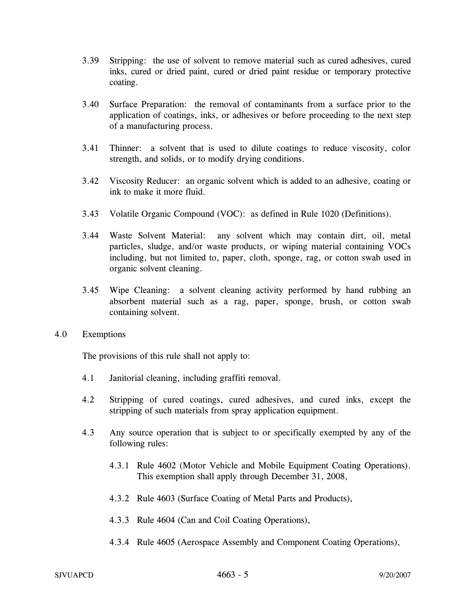- 3.39 Stripping: the use of solvent to remove material such as cured adhesives, cured inks, cured or dried paint, cured or dried paint residue or temporary protective coating.
- 3.40 Surface Preparation: the removal of contaminants from a surface prior to the application of coatings, inks, or adhesives or before proceeding to the next step of a manufacturing process.
- 3.41 Thinner: a solvent that is used to dilute coatings to reduce viscosity, color strength, and solids, or to modify drying conditions.
- 3.42 Viscosity Reducer: an organic solvent which is added to an adhesive, coating or ink to make it more fluid.
- 3.43 Volatile Organic Compound (VOC): as defined in Rule 1020 (Definitions).
- 3.44 Waste Solvent Material: any solvent which may contain dirt, oil, metal particles, sludge, and/or waste products, or wiping material containing VOCs including, but not limited to, paper, cloth, sponge, rag, or cotton swab used in organic solvent cleaning.
- 3.45 Wipe Cleaning: a solvent cleaning activity performed by hand rubbing an absorbent material such as a rag, paper, sponge, brush, or cotton swab containing solvent.
- 4.0 Exemptions

The provisions of this rule shall not apply to:

- 4.1 Janitorial cleaning, including graffiti removal.
- 4.2 Stripping of cured coatings, cured adhesives, and cured inks, except the stripping of such materials from spray application equipment.
- 4.3 Any source operation that is subject to or specifically exempted by any of the following rules:
	- 4.3.1 Rule 4602 (Motor Vehicle and Mobile Equipment Coating Operations). This exemption shall apply through December 31, 2008,
	- 4.3.2 Rule 4603 (Surface Coating of Metal Parts and Products),
	- 4.3.3 Rule 4604 (Can and Coil Coating Operations),
	- 4.3.4 Rule 4605 (Aerospace Assembly and Component Coating Operations),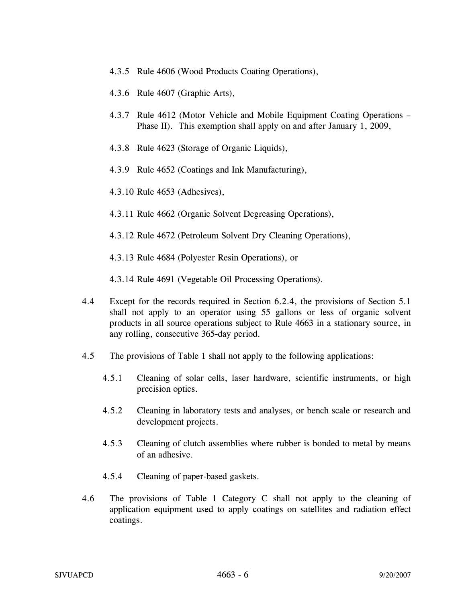- 4.3.5 Rule 4606 (Wood Products Coating Operations),
- 4.3.6 Rule 4607 (Graphic Arts),
- 4.3.7 Rule 4612 (Motor Vehicle and Mobile Equipment Coating Operations Phase II). This exemption shall apply on and after January 1, 2009,
- 4.3.8 Rule 4623 (Storage of Organic Liquids),
- 4.3.9 Rule 4652 (Coatings and Ink Manufacturing),
- 4.3.10 Rule 4653 (Adhesives),
- 4.3.11 Rule 4662 (Organic Solvent Degreasing Operations),
- 4.3.12 Rule 4672 (Petroleum Solvent Dry Cleaning Operations),

4.3.13 Rule 4684 (Polyester Resin Operations), or

4.3.14 Rule 4691 (Vegetable Oil Processing Operations).

- 4.4 Except for the records required in Section 6.2.4, the provisions of Section 5.1 shall not apply to an operator using 55 gallons or less of organic solvent products in all source operations subject to Rule 4663 in a stationary source, in any rolling, consecutive 365-day period.
- 4.5 The provisions of Table 1 shall not apply to the following applications:
	- 4.5.1 Cleaning of solar cells, laser hardware, scientific instruments, or high precision optics.
	- 4.5.2 Cleaning in laboratory tests and analyses, or bench scale or research and development projects.
	- 4.5.3 Cleaning of clutch assemblies where rubber is bonded to metal by means of an adhesive.
	- 4.5.4 Cleaning of paper-based gaskets.
- 4.6 The provisions of Table 1 Category C shall not apply to the cleaning of application equipment used to apply coatings on satellites and radiation effect coatings.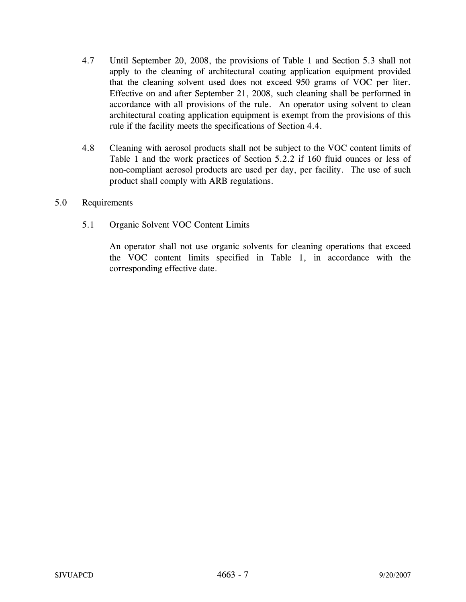- 4.7 Until September 20, 2008, the provisions of Table 1 and Section 5.3 shall not apply to the cleaning of architectural coating application equipment provided that the cleaning solvent used does not exceed 950 grams of VOC per liter. Effective on and after September 21, 2008, such cleaning shall be performed in accordance with all provisions of the rule. An operator using solvent to clean architectural coating application equipment is exempt from the provisions of this rule if the facility meets the specifications of Section 4.4.
- 4.8 Cleaning with aerosol products shall not be subject to the VOC content limits of Table 1 and the work practices of Section 5.2.2 if 160 fluid ounces or less of non-compliant aerosol products are used per day, per facility. The use of such product shall comply with ARB regulations.
- 5.0 Requirements
	- 5.1 Organic Solvent VOC Content Limits

An operator shall not use organic solvents for cleaning operations that exceed the VOC content limits specified in Table 1, in accordance with the corresponding effective date.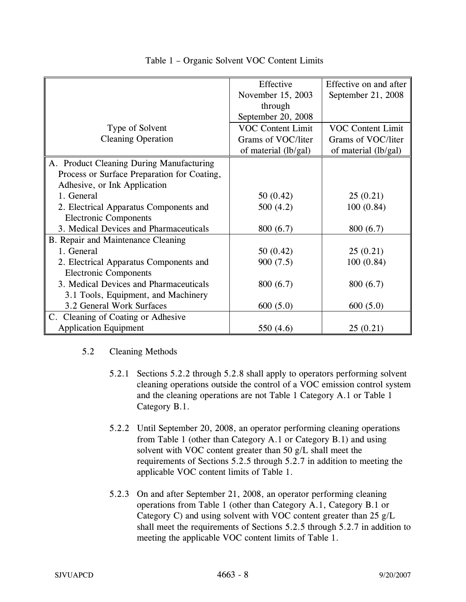|                                             | Effective                | Effective on and after   |
|---------------------------------------------|--------------------------|--------------------------|
|                                             | November 15, 2003        | September 21, 2008       |
|                                             | through                  |                          |
|                                             | September 20, 2008       |                          |
| Type of Solvent                             | <b>VOC Content Limit</b> | <b>VOC Content Limit</b> |
| <b>Cleaning Operation</b>                   | Grams of VOC/liter       | Grams of VOC/liter       |
|                                             | of material $(lb/gal)$   | of material (lb/gal)     |
| A. Product Cleaning During Manufacturing    |                          |                          |
| Process or Surface Preparation for Coating, |                          |                          |
| Adhesive, or Ink Application                |                          |                          |
| 1. General                                  | 50(0.42)                 | 25(0.21)                 |
| 2. Electrical Apparatus Components and      | 500(4.2)                 | 100(0.84)                |
| <b>Electronic Components</b>                |                          |                          |
| 3. Medical Devices and Pharmaceuticals      | 800 (6.7)                | 800(6.7)                 |
| B. Repair and Maintenance Cleaning          |                          |                          |
| 1. General                                  | 50(0.42)                 | 25(0.21)                 |
| 2. Electrical Apparatus Components and      | 900(7.5)                 | 100(0.84)                |
| <b>Electronic Components</b>                |                          |                          |
| 3. Medical Devices and Pharmaceuticals      | 800(6.7)                 | 800(6.7)                 |
| 3.1 Tools, Equipment, and Machinery         |                          |                          |
| 3.2 General Work Surfaces                   | 600(5.0)                 | 600(5.0)                 |
| C. Cleaning of Coating or Adhesive          |                          |                          |
| <b>Application Equipment</b>                | 550 (4.6)                | 25(0.21)                 |

## Table 1 – Organic Solvent VOC Content Limits

## 5.2 Cleaning Methods

- 5.2.1 Sections 5.2.2 through 5.2.8 shall apply to operators performing solvent cleaning operations outside the control of a VOC emission control system and the cleaning operations are not Table 1 Category A.1 or Table 1 Category B.1.
- 5.2.2 Until September 20, 2008, an operator performing cleaning operations from Table 1 (other than Category A.1 or Category B.1) and using solvent with VOC content greater than 50 g/L shall meet the requirements of Sections 5.2.5 through 5.2.7 in addition to meeting the applicable VOC content limits of Table 1.
- 5.2.3 On and after September 21, 2008, an operator performing cleaning operations from Table 1 (other than Category A.1, Category B.1 or Category C) and using solvent with VOC content greater than 25 g/L shall meet the requirements of Sections 5.2.5 through 5.2.7 in addition to meeting the applicable VOC content limits of Table 1.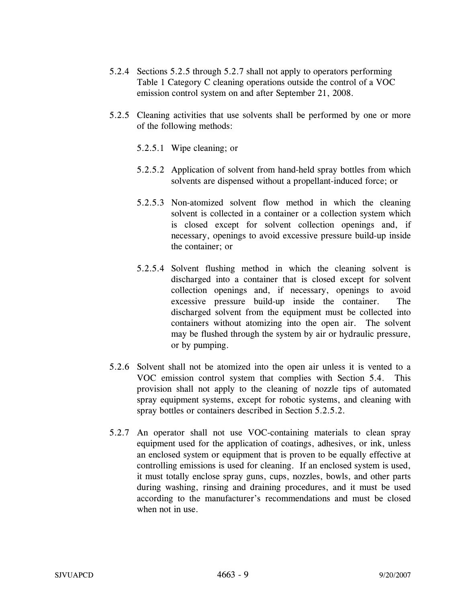- 5.2.4 Sections 5.2.5 through 5.2.7 shall not apply to operators performing Table 1 Category C cleaning operations outside the control of a VOC emission control system on and after September 21, 2008.
- 5.2.5 Cleaning activities that use solvents shall be performed by one or more of the following methods:
	- 5.2.5.1 Wipe cleaning; or
	- 5.2.5.2 Application of solvent from hand-held spray bottles from which solvents are dispensed without a propellant-induced force; or
	- 5.2.5.3 Non-atomized solvent flow method in which the cleaning solvent is collected in a container or a collection system which is closed except for solvent collection openings and, if necessary, openings to avoid excessive pressure build-up inside the container; or
	- 5.2.5.4 Solvent flushing method in which the cleaning solvent is discharged into a container that is closed except for solvent collection openings and, if necessary, openings to avoid excessive pressure build-up inside the container. The discharged solvent from the equipment must be collected into containers without atomizing into the open air. The solvent may be flushed through the system by air or hydraulic pressure, or by pumping.
- 5.2.6 Solvent shall not be atomized into the open air unless it is vented to a VOC emission control system that complies with Section 5.4. This provision shall not apply to the cleaning of nozzle tips of automated spray equipment systems, except for robotic systems, and cleaning with spray bottles or containers described in Section 5.2.5.2.
- 5.2.7 An operator shall not use VOC-containing materials to clean spray equipment used for the application of coatings, adhesives, or ink, unless an enclosed system or equipment that is proven to be equally effective at controlling emissions is used for cleaning. If an enclosed system is used, it must totally enclose spray guns, cups, nozzles, bowls, and other parts during washing, rinsing and draining procedures, and it must be used according to the manufacturer's recommendations and must be closed when not in use.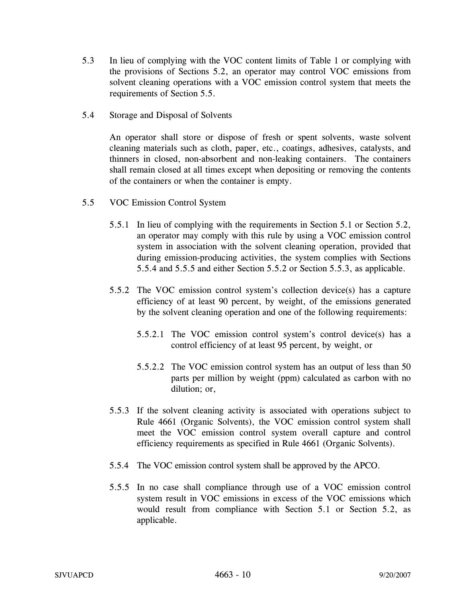- 5.3 In lieu of complying with the VOC content limits of Table 1 or complying with the provisions of Sections 5.2, an operator may control VOC emissions from solvent cleaning operations with a VOC emission control system that meets the requirements of Section 5.5.
- 5.4 Storage and Disposal of Solvents

An operator shall store or dispose of fresh or spent solvents, waste solvent cleaning materials such as cloth, paper, etc., coatings, adhesives, catalysts, and thinners in closed, non-absorbent and non-leaking containers. The containers shall remain closed at all times except when depositing or removing the contents of the containers or when the container is empty.

- 5.5 VOC Emission Control System
	- 5.5.1 In lieu of complying with the requirements in Section 5.1 or Section 5.2, an operator may comply with this rule by using a VOC emission control system in association with the solvent cleaning operation, provided that during emission-producing activities, the system complies with Sections 5.5.4 and 5.5.5 and either Section 5.5.2 or Section 5.5.3, as applicable.
	- 5.5.2 The VOC emission control system's collection device(s) has a capture efficiency of at least 90 percent, by weight, of the emissions generated by the solvent cleaning operation and one of the following requirements:
		- 5.5.2.1 The VOC emission control system's control device(s) has a control efficiency of at least 95 percent, by weight, or
		- 5.5.2.2 The VOC emission control system has an output of less than 50 parts per million by weight (ppm) calculated as carbon with no dilution; or,
	- 5.5.3 If the solvent cleaning activity is associated with operations subject to Rule 4661 (Organic Solvents), the VOC emission control system shall meet the VOC emission control system overall capture and control efficiency requirements as specified in Rule 4661 (Organic Solvents).
	- 5.5.4 The VOC emission control system shall be approved by the APCO.
	- 5.5.5 In no case shall compliance through use of a VOC emission control system result in VOC emissions in excess of the VOC emissions which would result from compliance with Section 5.1 or Section 5.2, as applicable.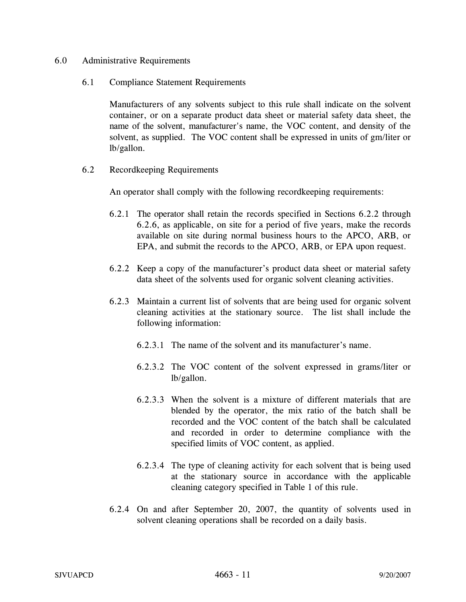- 6.0 Administrative Requirements
	- 6.1 Compliance Statement Requirements

Manufacturers of any solvents subject to this rule shall indicate on the solvent container, or on a separate product data sheet or material safety data sheet, the name of the solvent, manufacturer's name, the VOC content, and density of the solvent, as supplied. The VOC content shall be expressed in units of gm/liter or lb/gallon.

6.2 Recordkeeping Requirements

An operator shall comply with the following recordkeeping requirements:

- 6.2.1 The operator shall retain the records specified in Sections 6.2.2 through 6.2.6, as applicable, on site for a period of five years, make the records available on site during normal business hours to the APCO, ARB, or EPA, and submit the records to the APCO, ARB, or EPA upon request.
- 6.2.2 Keep a copy of the manufacturer's product data sheet or material safety data sheet of the solvents used for organic solvent cleaning activities.
- 6.2.3 Maintain a current list of solvents that are being used for organic solvent cleaning activities at the stationary source. The list shall include the following information:
	- 6.2.3.1 The name of the solvent and its manufacturer's name.
	- 6.2.3.2 The VOC content of the solvent expressed in grams/liter or lb/gallon.
	- 6.2.3.3 When the solvent is a mixture of different materials that are blended by the operator, the mix ratio of the batch shall be recorded and the VOC content of the batch shall be calculated and recorded in order to determine compliance with the specified limits of VOC content, as applied.
	- 6.2.3.4 The type of cleaning activity for each solvent that is being used at the stationary source in accordance with the applicable cleaning category specified in Table 1 of this rule.
- 6.2.4 On and after September 20, 2007, the quantity of solvents used in solvent cleaning operations shall be recorded on a daily basis.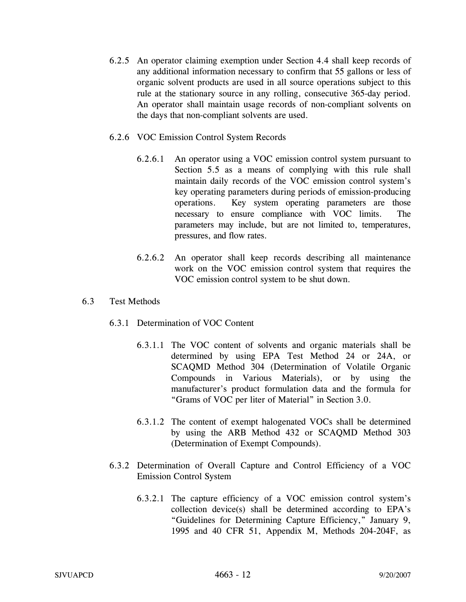6.2.5 An operator claiming exemption under Section 4.4 shall keep records of any additional information necessary to confirm that 55 gallons or less of organic solvent products are used in all source operations subject to this rule at the stationary source in any rolling, consecutive 365-day period. An operator shall maintain usage records of non-compliant solvents on the days that non-compliant solvents are used.

### 6.2.6 VOC Emission Control System Records

- 6.2.6.1 An operator using a VOC emission control system pursuant to Section 5.5 as a means of complying with this rule shall maintain daily records of the VOC emission control system's key operating parameters during periods of emission-producing operations. Key system operating parameters are those necessary to ensure compliance with VOC limits. The parameters may include, but are not limited to, temperatures, pressures, and flow rates.
- 6.2.6.2 An operator shall keep records describing all maintenance work on the VOC emission control system that requires the VOC emission control system to be shut down.

### 6.3 Test Methods

- 6.3.1 Determination of VOC Content
	- 6.3.1.1 The VOC content of solvents and organic materials shall be determined by using EPA Test Method 24 or 24A, or SCAQMD Method 304 (Determination of Volatile Organic Compounds in Various Materials), or by using the manufacturer's product formulation data and the formula for "Grams of VOC per liter of Material" in Section 3.0.
	- 6.3.1.2 The content of exempt halogenated VOCs shall be determined by using the ARB Method 432 or SCAQMD Method 303 (Determination of Exempt Compounds).
- 6.3.2 Determination of Overall Capture and Control Efficiency of a VOC Emission Control System
	- 6.3.2.1 The capture efficiency of a VOC emission control system's collection device(s) shall be determined according to EPA's "Guidelines for Determining Capture Efficiency," January 9, 1995 and 40 CFR 51, Appendix M, Methods 204-204F, as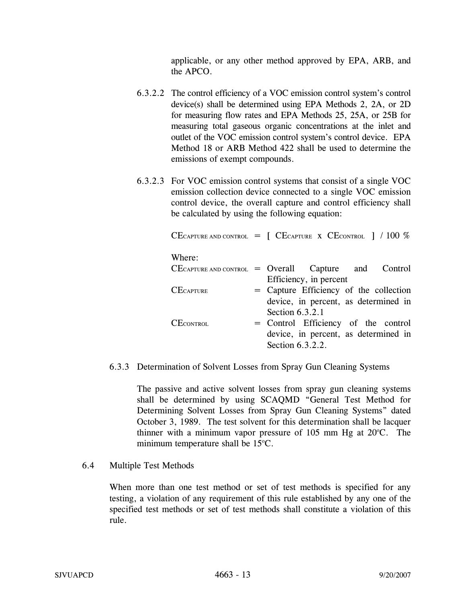applicable, or any other method approved by EPA, ARB, and the APCO.

- 6.3.2.2 The control efficiency of a VOC emission control system's control device(s) shall be determined using EPA Methods 2, 2A, or 2D for measuring flow rates and EPA Methods 25, 25A, or 25B for measuring total gaseous organic concentrations at the inlet and outlet of the VOC emission control system's control device. EPA Method 18 or ARB Method 422 shall be used to determine the emissions of exempt compounds.
- 6.3.2.3 For VOC emission control systems that consist of a single VOC emission collection device connected to a single VOC emission control device, the overall capture and control efficiency shall be calculated by using the following equation:

|                  | CECAPTURE AND CONTROL $=$ [ CECAPTURE X CECONTROL ] / 100 % |
|------------------|-------------------------------------------------------------|
| Where:           |                                                             |
|                  | $CE$ CAPTURE AND CONTROL = Overall Capture and Control      |
|                  | Efficiency, in percent                                      |
| <b>CECAPTURE</b> | = Capture Efficiency of the collection                      |
|                  | device, in percent, as determined in                        |
|                  | Section 6.3.2.1                                             |
| <b>CECONTROL</b> | = Control Efficiency of the control                         |
|                  | device, in percent, as determined in                        |
|                  | Section 6.3.2.2.                                            |

### 6.3.3 Determination of Solvent Losses from Spray Gun Cleaning Systems

The passive and active solvent losses from spray gun cleaning systems shall be determined by using SCAQMD "General Test Method for Determining Solvent Losses from Spray Gun Cleaning Systems" dated October 3, 1989. The test solvent for this determination shall be lacquer thinner with a minimum vapor pressure of  $105$  mm Hg at  $20^{\circ}$ C. The minimum temperature shall be  $15^{\circ}$ C.

### 6.4 Multiple Test Methods

When more than one test method or set of test methods is specified for any testing, a violation of any requirement of this rule established by any one of the specified test methods or set of test methods shall constitute a violation of this rule.